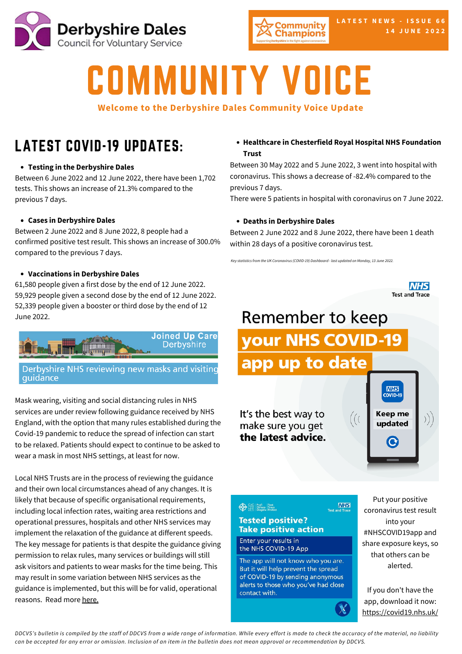



# COMMUNITY VOICE

### **Welcome to the Derbyshire Dales Community Voice Update**

## LATEST COVID-19 UPDATES:

### **Testing in the [Derbyshire](https://www.gov.uk/guidance/covid-19-coronavirus-restrictions-what-you-can-and-cannot-do?priority-taxon=774cee22-d896-44c1-a611-e3109cce8eae) Dales**

Between 6 June 2022 and 12 June 2022, there have been 1,702 tests. This shows an increase of 21.3% compared to the previous 7 days.

### **Cases in [Derbyshire](https://www.gov.uk/guidance/covid-19-coronavirus-restrictions-what-you-can-and-cannot-do?priority-taxon=774cee22-d896-44c1-a611-e3109cce8eae) Dales**

Between 2 June 2022 and 8 June 2022, 8 people had a [confirmed](https://www.gov.uk/guidance/covid-19-coronavirus-restrictions-what-you-can-and-cannot-do?priority-taxon=774cee22-d896-44c1-a611-e3109cce8eae) positive test result. This shows an increase of 300.0% compared to the previous 7 days.

### **[Vaccinations](https://www.gov.uk/guidance/covid-19-coronavirus-restrictions-what-you-can-and-cannot-do?priority-taxon=774cee22-d896-44c1-a611-e3109cce8eae) in Derbyshire Dales**

61,580 people given a first dose by the end of 12 June 2022. 59,929 people given a second dose by the end of 12 June 2022. 52,339 people given a booster or third dose by the end of 12 June 2022.



Derbyshire NHS reviewing new masks and visiting guidance

Mask wearing, visiting and social distancing rules in NHS services are under review following guidance received by NHS England, with the option that many rules established during the Covid-19 pandemic to reduce the spread of infection can start to be relaxed. Patients should expect to continue to be asked to wear a mask in most NHS settings, at least for now.

Local NHS Trusts are in the process of reviewing the guidance and their own local circumstances ahead of any changes. It is likely that because of specific organisational requirements, including local infection rates, waiting area restrictions and operational pressures, hospitals and other NHS services may implement the relaxation of the guidance at different speeds. The key message for patients is that despite the guidance giving permission to relax rules, many services or buildings will still ask visitors and patients to wear masks for the time being. This may result in some variation between NHS services as the guidance is implemented, but this will be for valid, operational reasons. Read more [here.](https://joinedupcarederbyshire.co.uk/news/news/derbyshire-nhs-reviewing-new-masks-and-visiting-guidance)

**Healthcare in Chesterfield Royal Hospital NHS Foundation Trust**

Between 30 May 2022 and 5 June 2022, 3 went into hospital with coronavirus. This shows a decrease of -82.4% compared to the previous 7 days.

There were 5 patients in hospital with coronavirus on 7 June 2022.

### **Deaths in Derbyshire Dales**

Between 2 June 2022 and 8 June 2022, there have been 1 death within 28 days of a positive coronavirus test.

*Key statistics from the UK Coronavirus (COVID-19) Dashboard - last updated on Monday, 13 June 2022.*



# Remember to keep **your NHS COVID-19** app up to date

It's the best way to make sure you get the latest advice.

### **CONTROL** Profi Test<br>NHS Olthain Trace

**Tested positive? Take positive action** 

Enter your results in the NHS COVID-19 App

The app will not know who you are. But it will help prevent the spread of COVID-19 by sending anonymous alerts to those who you've had close contact with.

Put your positive coronavirus test result into your #NHSCOVID19app and share exposure keys, so that others can be alerted.

**MHS** COVID-19

**Keep me** 

updated

 $)\big)$ 

 $\bigl($  (

**NHS** 

 $\mathbf{x}$ 

If you don't have the app, download it now: [https://covid19.nhs.uk/](https://www.gov.uk/government/collections/nhs-covid-19-app)

DDCVS's bulletin is compiled by the staff of DDCVS from a wide range of information. While every effort is made to check the accuracy of the material, no liability can be accepted for any error or omission. Inclusion of an item in the bulletin does not mean approval or recommendation by DDCVS.